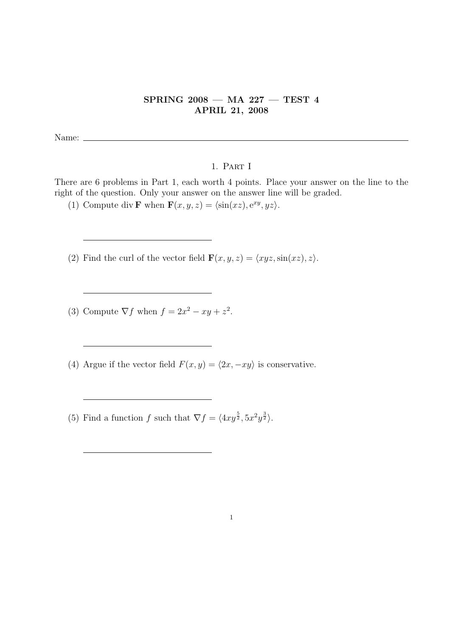## SPRING 2008 — MA 227 — TEST 4 APRIL 21, 2008

Name:  $\_\_$ 

## 1. Part I

There are 6 problems in Part 1, each worth 4 points. Place your answer on the line to the right of the question. Only your answer on the answer line will be graded.

(1) Compute div **F** when  $\mathbf{F}(x, y, z) = \langle \sin(xz), e^{xy}, yz \rangle$ .

(2) Find the curl of the vector field  $\mathbf{F}(x, y, z) = \langle xyz, \sin(xz), z \rangle$ .

(3) Compute  $\nabla f$  when  $f = 2x^2 - xy + z^2$ .

(4) Argue if the vector field  $F(x, y) = \langle 2x, -xy \rangle$  is conservative.

(5) Find a function f such that  $\nabla f = \langle 4xy^{\frac{5}{2}}, 5x^2y^{\frac{3}{2}} \rangle$ .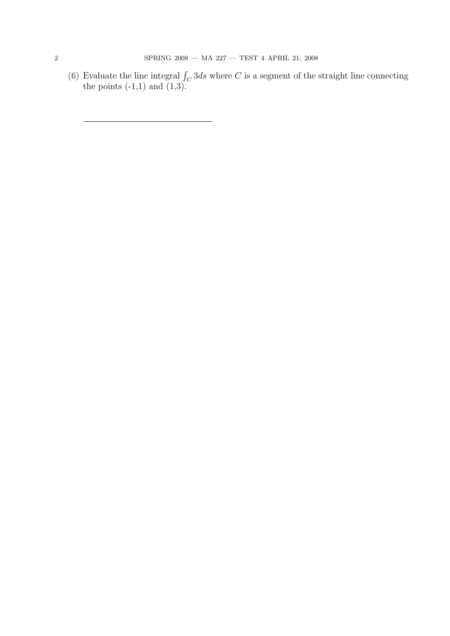(6) Evaluate the line integral  $\int_C 3ds$  where C is a segment of the straight line connecting the points  $(-1,1)$  and  $(1,3)$ .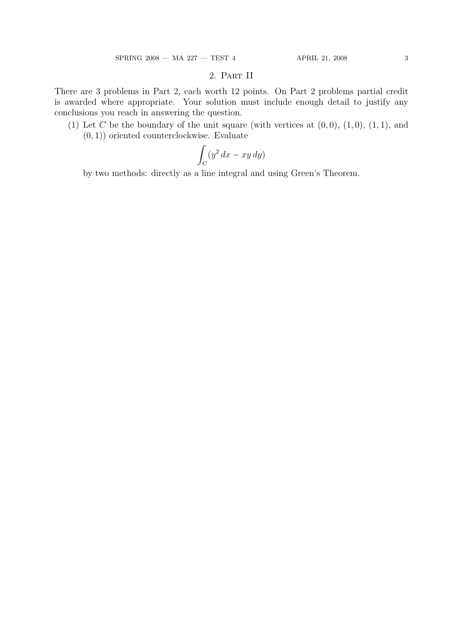## 2. Part II

There are 3 problems in Part 2, each worth 12 points. On Part 2 problems partial credit is awarded where appropriate. Your solution must include enough detail to justify any conclusions you reach in answering the question.

(1) Let C be the boundary of the unit square (with vertices at  $(0, 0)$ ,  $(1, 0)$ ,  $(1, 1)$ , and  $(0, 1)$ ) oriented counterclockwise. Evaluate

$$
\int_C (y^2 \, dx - xy \, dy)
$$

by two methods: directly as a line integral and using Green's Theorem.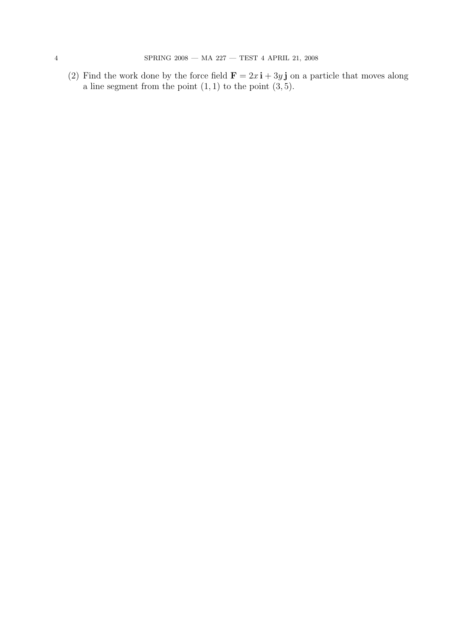(2) Find the work done by the force field  $\mathbf{F} = 2x \mathbf{i} + 3y \mathbf{j}$  on a particle that moves along a line segment from the point  $(1, 1)$  to the point  $(3, 5)$ .